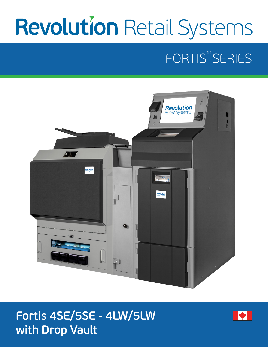# **Revolution Retail Systems**

## FORTIS<sup>™</sup>SERIES



## Fortis 4SE/5SE - 4LW/5LW with Drop Vault

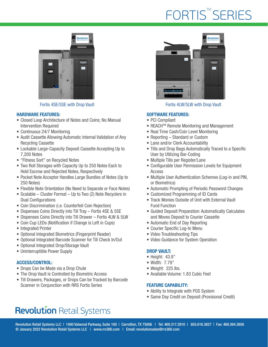## FORTIS<sup>™</sup>SERIES



#### HARDWARE FEATURES:

- Closed Loop Architecture of Notes and Coins; No Manual Intervention Required
- Continuous 24/7 Monitoring
- Audit Cassette Allowing Automatic Internal Validation of Any Recycling Cassette
- Lockable Large-Capacity Deposit Cassette Accepting Up to 7,200 Notes
- "Fitness Sort" on Recycled Notes
- Two Roll Storages with Capacity Up to 250 Notes Each to Hold Escrow and Rejected Notes, Respectively
- Pocket Note Acceptor Handles Large Bundles of Notes (Up to 250 Notes)
- Flexible Note Orientation (No Need to Separate or Face Notes)
- Scalable Cluster Format Up to Two (2) Note Recyclers in Dual Configurations
- Coin Discrimination (i.e. Counterfeit Coin Rejection)
- Dispenses Coins Directly into Till Tray Fortis 4SE & 5SE
- Dispenses Coins Directly into Till Drawer Fortis 4LW & 5LW
- Coin Cup LEDs (Notification if Change is Left in Cups)
- Integrated Printer
- Optional Integrated Biometrics (Fingerprint Reader)
- Optional Integrated Barcode Scanner for Till Check In/Out
- Optional Integrated Drop/Storage Vault
- Uninterruptible Power Supply

### ACCESS/CONTROL:

- Drops Can be Made via a Drop Chute
- The Drop Vault is Controlled by Biometric Access
- Till Drawers, Packages, or Drops Can be Tracked by Barcode Scanner in Conjunction with RRS Fortis Series



Fortis 4SE/5SE with Drop Vault Fortis 4LW/5LW with Drop Vault

#### SOFTWARE FEATURES:

- PCI Compliant
- REACHTM Remote Monitoring and Management
- Real Time Cash/Coin Level Monitoring
- Reporting Standard or Custom
- Lane and/or Clerk Accountability
- Tills and Drop Bags Automatically Traced to a Specific User by Utilizing Bar-Coding
- Multiple Tills per Register/Lane
- Configurable User Permission Levels for Equipment Access
- Multiple User Authentication Schemes (Log-in and PIN, or Biometrics)
- Automatic Prompting of Periodic Password Changes
- Customized Programming of ID Cards
- Track Monies Outside of Unit with External Vault Fund Function
- Guided Deposit Preparation: Automatically Calculates and Moves Deposit to Courier Cassette
- Automatic End of Day Reporting
- Courier Specific Log-In Menu
- Video Troubleshooting Tips
- Video Guidance for System Operation

### DROP VAULT:

- Height: 43.8"
- Width: 7.79"
- Weight: 225 lbs.
- Available Volume: 1.83 Cubic Feet

### FEATURE CAPABILITY:

- Ability to Integrate with POS System
- Same Day Credit on Deposit (Provisional Credit)

## **Revolution Retail Systems**

Revolution Retail Systems LLC | 1400 Valwood Parkway, Suite 100 | Carrollton, TX 75006 | Tel: 469.317.2910 | 855.616.3827 | Fax: 469.364.3856 © January 2022 Revolution Retail Systems LLC | www.rrs360.com | Email: revolutionsales@rrs360.com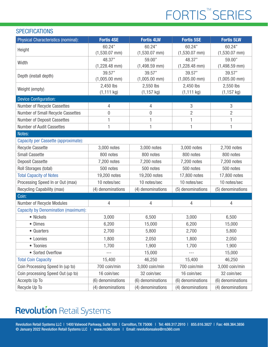## FORTIS<sup>™</sup>SERIES

### **SPECIFICATIONS**

| <b>Physical Characteristics (nominal):</b> | <b>Fortis 4SE</b> | <b>Fortis 4LW</b> | <b>Fortis 5SE</b> | <b>Fortis 5LW</b> |
|--------------------------------------------|-------------------|-------------------|-------------------|-------------------|
| Height                                     | 60.24"            | 60.24"            | 60.24"            | 60.24"            |
|                                            | $(1,530.07$ mm)   | $(1,530.07$ mm)   | $(1,530.07$ mm)   | $(1,530.07$ mm)   |
| Width                                      | 48.37"            | 59.00"            | 48.37"            | 59.00"            |
|                                            | $(1,228.48$ mm)   | $(1,498.59$ mm)   | $(1,228.48$ mm)   | $(1,498.59$ mm)   |
| Depth (install depth)                      | 39.57"            | 39.57"            | 39.57"            | 39.57"            |
|                                            | $(1,005.00$ mm)   | $(1,005.00$ mm)   | $(1,005.00$ mm)   | $(1,005.00$ mm)   |
| Weight (empty)                             | 2,450 lbs         | 2,550 lbs         | 2,450 lbs         | 2,550 lbs         |
|                                            | (1, 111 kg)       | $(1, 157$ kg)     | (1, 111 kg)       | $(1, 157$ kg)     |
| <b>Device Configuration:</b>               |                   |                   |                   |                   |
| Number of Recycle Cassettes                | 4                 | 4                 | 3                 | 3                 |
| Number of Small Recycle Cassettes          | $\mathbf{0}$      | $\mathbf 0$       | $\overline{2}$    | $\overline{2}$    |
| <b>Number of Deposit Cassettes</b>         | 1                 | 1                 | 1                 | 1                 |
| Number of Audit Cassettes                  | $\mathbf{1}$      | 1                 | 1                 | 1                 |
| Notes:                                     |                   |                   |                   |                   |
| Capacity per Cassette (approximate):       |                   |                   |                   |                   |
| <b>Recycle Cassette</b>                    | 3,000 notes       | 3,000 notes       | 3,000 notes       | 2,700 notes       |
| <b>Small Cassette</b>                      | 800 notes         | 800 notes         | 800 notes         | 800 notes         |
| <b>Deposit Cassette</b>                    | 7,200 notes       | 7,200 notes       | 7,200 notes       | 7,200 notes       |
| Roll Storages (total)                      | 500 notes         | 500 notes         | 500 notes         | 500 notes         |
| <b>Total Capacity of Notes</b>             | 19,200 notes      | 19,200 notes      | 17,800 notes      | 17,800 notes      |
| Processing Speed In or Out (max)           | 10 notes/sec      | 10 notes/sec      | 10 notes/sec      | 10 notes/sec      |
| Recycling Capability (max)                 | (4) denominations | (4) denominations | (5) denominations | (5) denominations |
| Coin:                                      |                   |                   |                   |                   |
| Number of Recycle Modules                  | 4                 | 4                 | 4                 | 4                 |
| <b>Capacity by Denomination (maximum):</b> |                   |                   |                   |                   |
| • Nickels                                  | 3,000             | 6,500             | 3,000             | 6,500             |
| • Dimes                                    | 6,200             | 15,000            | 6,200             | 15,000            |
| • Quarters                                 | 2,700             | 5,800             | 2,700             | 5,800             |
| • Loonies                                  | 1,800             | 2,050             | 1,800             | 2,050             |
| • Toonies                                  | 1,700             | 1,900             | 1,700             | 1,900             |
| • Sorted Overflow                          | $- - -$           | 15,000            | ---               | 15,000            |
| <b>Total Coin Capacity</b>                 | 15,400            | 46,250            | 15,400            | 46,250            |
| Coin Processing Speed In (up to)           | 700 coin/min      | 3,000 coin/min    | 700 coin/min      | 3,000 coin/min    |
| Coin processing Speed Out (up to)          | 16 coin/sec       | 32 coin/sec       | 16 coin/sec       | 32 coin/sec       |
| Accepts Up To                              | (6) denominations | (6) denominations | (6) denominations | (6) denominations |
| Recycle Up To                              | (4) denominations | (4) denominations | (4) denominations | (4) denominations |

## **Revolution Retail Systems**

Revolution Retail Systems LLC | 1400 Valwood Parkway, Suite 100 | Carrollton, TX 75006 | Tel: 469.317.2910 | 855.616.3827 | Fax: 469.364.3856 © January 2022 Revolution Retail Systems LLC | www.rrs360.com | Email: revolutionsales@rrs360.com